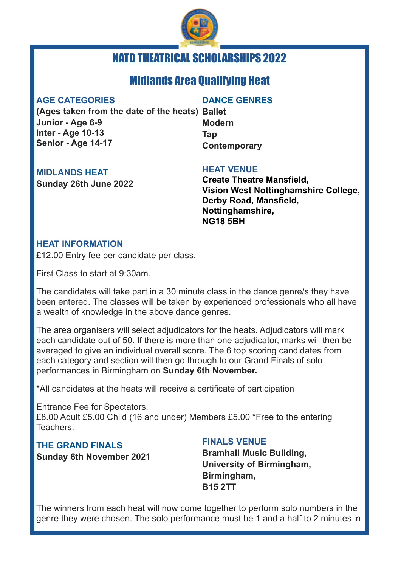

# NATD THEATRICAL SCHOLARSHIPS 2022

## Midlands Area Qualifying Heat

#### **AGE CATEGORIES**

#### **DANCE GENRES**

**(Ages taken from the date of the heats) Ballet Junior - Age 6-9 Inter - Age 10-13 Senior - Age 14-17**

**Modern Tap Contemporary**

#### **MIDLANDS HEAT**

**Sunday 26th June 2022** 

#### **HEAT VENUE**

**Create Theatre Mansfield, Vision West Nottinghamshire College, Derby Road, Mansfield, Nottinghamshire, NG18 5BH** 

#### **HEAT INFORMATION**

£12.00 Entry fee per candidate per class.

First Class to start at 9:30am.

The candidates will take part in a 30 minute class in the dance genre/s they have been entered. The classes will be taken by experienced professionals who all have a wealth of knowledge in the above dance genres.

The area organisers will select adjudicators for the heats. Adjudicators will mark each candidate out of 50. If there is more than one adjudicator, marks will then be averaged to give an individual overall score. The 6 top scoring candidates from each category and section will then go through to our Grand Finals of solo performances in Birmingham on **Sunday 6th November.** 

\*All candidates at the heats will receive a certificate of participation

Entrance Fee for Spectators. £8.00 Adult £5.00 Child (16 and under) Members £5.00 \*Free to the entering Teachers.

### **THE GRAND FINALS**

**Sunday 6th November 2021** 

### **FINALS VENUE**

**Bramhall Music Building, University of Birmingham, Birmingham, B15 2TT**

The winners from each heat will now come together to perform solo numbers in the genre they were chosen. The solo performance must be 1 and a half to 2 minutes in